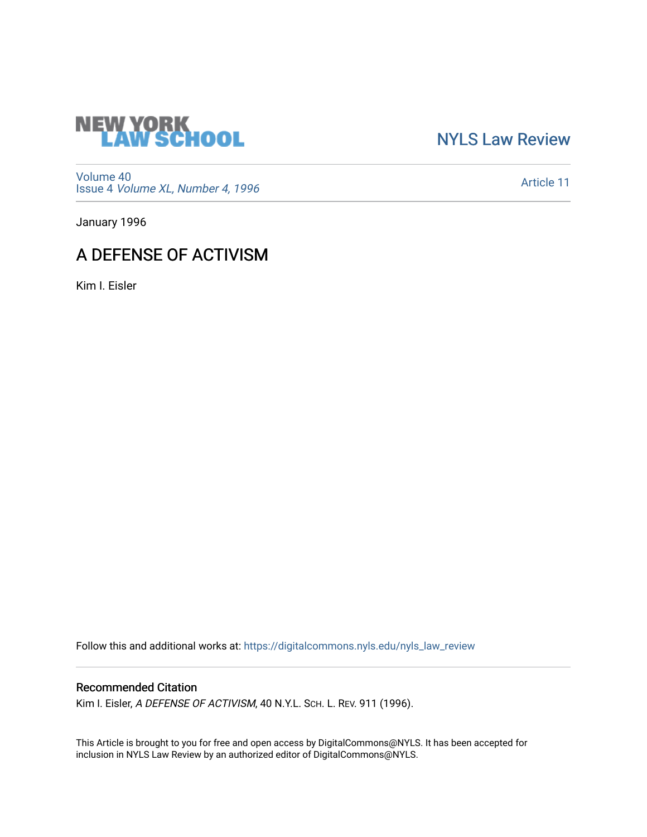

[NYLS Law Review](https://digitalcommons.nyls.edu/nyls_law_review) 

[Volume 40](https://digitalcommons.nyls.edu/nyls_law_review/vol40) Issue 4 [Volume XL, Number 4, 1996](https://digitalcommons.nyls.edu/nyls_law_review/vol40/iss4)

[Article 11](https://digitalcommons.nyls.edu/nyls_law_review/vol40/iss4/11) 

January 1996

## A DEFENSE OF ACTIVISM

Kim I. Eisler

Follow this and additional works at: [https://digitalcommons.nyls.edu/nyls\\_law\\_review](https://digitalcommons.nyls.edu/nyls_law_review?utm_source=digitalcommons.nyls.edu%2Fnyls_law_review%2Fvol40%2Fiss4%2F11&utm_medium=PDF&utm_campaign=PDFCoverPages) 

## Recommended Citation

Kim I. Eisler, A DEFENSE OF ACTIVISM, 40 N.Y.L. SCH. L. REV. 911 (1996).

This Article is brought to you for free and open access by DigitalCommons@NYLS. It has been accepted for inclusion in NYLS Law Review by an authorized editor of DigitalCommons@NYLS.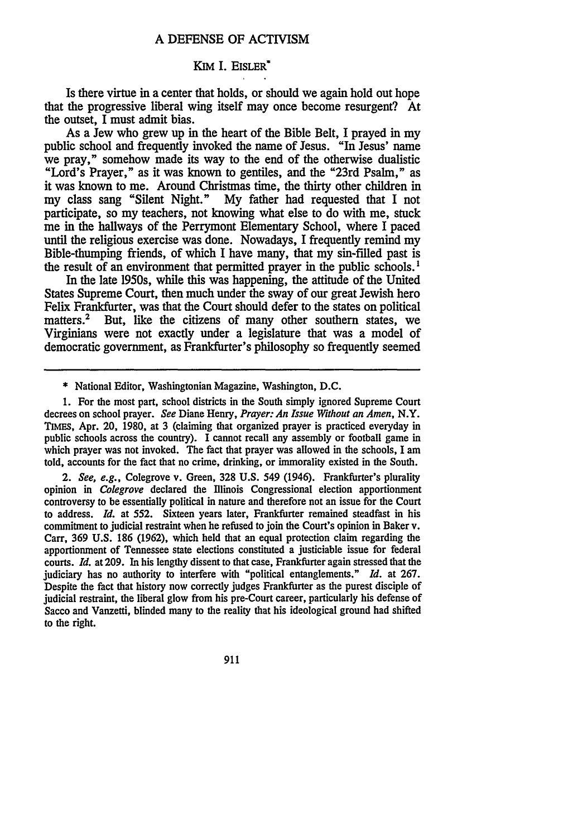## Kim **I.** EISLER

Is there virtue in a center that holds, or should we again hold out hope that the progressive liberal wing itself may once become resurgent? At the outset, I must admit bias.

As a Jew who grew up in the heart of the Bible Belt, I prayed in my public school and frequently invoked the name of Jesus. "In Jesus' name we pray," somehow made its way to the end of the otherwise dualistic "Lord's Prayer," as it was known to gentiles, and the "23rd Psalm," as it was known to me. Around Christmas time, the thirty other children in my class sang "Silent Night." My father had requested that I not participate, so my teachers, not knowing what else to do with me, stuck me in the hallways of the Perrymont Elementary School, where I paced until the religious exercise was done. Nowadays, I frequently remind my Bible-thumping friends, of which I have many, that my sin-filled past is the result of an environment that permitted prayer in the public schools. '

In the late 1950s, while this was happening, the attitude of the United States Supreme Court, then much under the sway of our great Jewish hero Felix Frankfurter, was that the Court should defer to the states on political matters.<sup>2</sup> But, like the citizens of many other southern states, we Virginians were not exactly under a legislature that was a model of democratic government, as Frankfurter's philosophy so frequently seemed

*2. See, e.g.,* Colegrove v. Green, **328 U.S.** 549 (1946). Frankfurter's plurality opinion in *Colegrove* declared the Ilinois Congressional election apportionment controversy to be essentially political in nature and therefore not an issue for the Court to address. *Id.* at 552. Sixteen years later, Frankfurter remained steadfast in his commitment to judicial restraint when he refused to join the Court's opinion in Baker v. Carr, 369 **U.S. 186** (1962), which held that an equal protection claim regarding the apportionment of Tennessee state elections constituted a justiciable issue for federal courts. *Id.* at 209. In his lengthy dissent to that case, Frankfurter again stressed that the judiciary has no authority to interfere with "political entanglements." *Id.* at 267. Despite the fact that history now correctly judges Frankfurter as the purest disciple of judicial restraint, the liberal glow from his pre-Court career, particularly his defense of Sacco and Vanzetti, blinded many to the reality that his ideological ground had shifted to the right.

911

<sup>\*</sup> National Editor, Washingtonian Magazine, Washington, D.C.

<sup>1.</sup> For the most part, school districts in the South simply ignored Supreme Court decrees on school prayer. *See* Diane Henry, *Prayer: An Issue Without an Amen,* N.Y. TIMEs, Apr. 20, 1980, at 3 (claiming that organized prayer is practiced everyday in public schools across the country). I cannot recall any assembly or football game in which prayer was not invoked. The fact that prayer was allowed in the schools, I am told, accounts for the fact that no crime, drinking, or immorality existed in the South.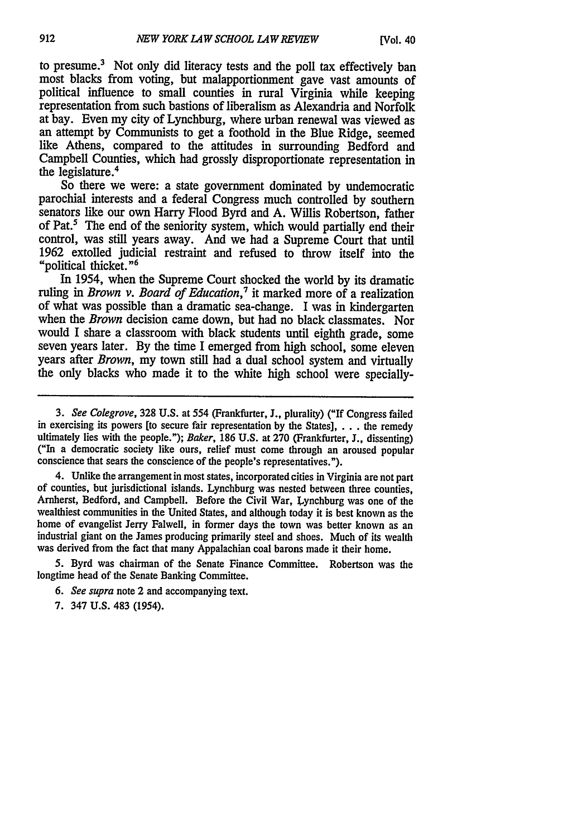to presume.<sup>3</sup> Not only did literacy tests and the poll tax effectively ban most blacks from voting, but malapportionment gave vast amounts of political influence to small counties in rural Virginia while keeping representation from such bastions of liberalism as Alexandria and Norfolk at bay. Even my city of Lynchburg, where urban renewal was viewed as an attempt by Communists to get a foothold in the Blue Ridge, seemed like Athens, compared to the attitudes in surrounding Bedford and Campbell Counties, which had grossly disproportionate representation in the legislature.<sup>4</sup>

So there we were: a state government dominated by undemocratic parochial interests and a federal Congress much controlled by southern senators like our own Harry Flood Byrd and A. Willis Robertson, father of Pat.<sup>5</sup> The end of the seniority system, which would partially end their control, was still years away. And we had a Supreme Court that until 1962 extolled judicial restraint and refused to throw itself into the "political thicket." <sup>6</sup>

In 1954, when the Supreme Court shocked the world by its dramatic ruling in *Brown v. Board of Education,'* it marked more of a realization of what was possible than a dramatic sea-change. I was in kindergarten when the *Brown* decision came down, but had no black classmates. Nor would I share a classroom with black students until eighth grade, some seven years later. By the time I emerged from high school, some eleven years after *Brown,* my town still had a dual school system and virtually the only blacks who made it to the white high school were specially-

4. Unlike the arrangement in most states, incorporated cities in Virginia are not part of counties, but jurisdictional islands. Lynchburg was nested between three counties, Amherst, Bedford, and Campbell. Before the Civil War, Lynchburg was one of the wealthiest communities in the United States, and although today it is best known as the home of evangelist Jerry Falwell, in former days the town was better known as an industrial giant on the James producing primarily steel and shoes. Much of its wealth was derived from the fact that many Appalachian coal barons made it their home.

**5.** Byrd was chairman of the Senate Finance Committee. Robertson was the longtime head of the Senate Banking Committee.

*6. See supra* note 2 and accompanying text.

7. 347 U.S. 483 (1954).

*<sup>3.</sup> See Colegrove,* 328 U.S. at 554 (Frankfurter, J., plurality) ("If Congress failed in exercising its powers [to secure fair representation by the States], . . . the remedy ultimately lies with the people."); *Baker*, 186 U.S. at 270 (Frankfurter, J., dissenting) ("In a democratic society like ours, relief must come through an aroused popular conscience that sears the conscience of the people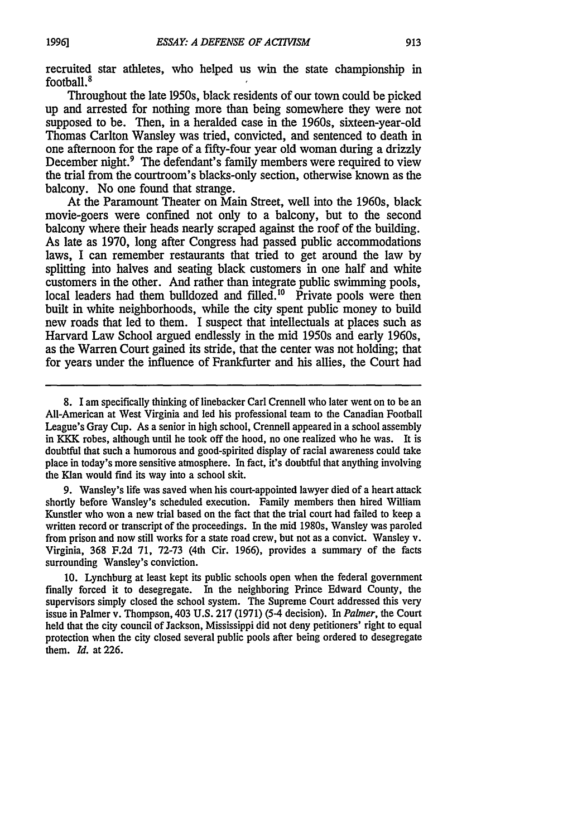recruited star athletes, who helped us win the state championship in football.<sup>8</sup>

Throughout the late 1950s, black residents of our town could be picked up and arrested for nothing more than being somewhere they were not supposed to be. Then, in a heralded case in the 1960s, sixteen-year-old Thomas Carlton Wansley was tried, convicted, and sentenced to death in one afternoon for the rape of a fifty-four year old woman during a drizzly December night.<sup>9</sup> The defendant's family members were required to view the trial from the courtroom's blacks-only section, otherwise known as the balcony. No one found that strange.

At the Paramount Theater on Main Street, well into the 1960s, black movie-goers were confined not only to a balcony, but to the second balcony where their heads nearly scraped against the roof of the building. As late as 1970, long after Congress had passed public accommodations laws, I can remember restaurants that tried to get around the law by splitting into halves and seating black customers in one half and white customers in the other. And rather than integrate public swimming pools, local leaders had them bulldozed and filled.<sup>10</sup> Private pools were then built in white neighborhoods, while the city spent public money to build new roads that led to them. I suspect that intellectuals at places such as Harvard Law School argued endlessly in the mid 1950s and early 1960s, as the Warren Court gained its stride, that the center was not holding; that for years under the influence of Frankfurter and his allies, the Court had

**9.** Wansley's life was saved when his court-appointed lawyer died of a heart attack shortly before Wansley's scheduled execution. Family members then hired William Kunstler who won a new trial based on the fact that the trial court had failed to keep a written record or transcript of the proceedings. In the mid 1980s, Wansley was paroled from prison and now still works for a state road crew, but not as a convict. Wansley v. Virginia, 368 F.2d 71, 72-73 (4th Cir. 1966), provides a summary of the facts surrounding Wansley's conviction.

10. Lynchburg at least kept its public schools open when the federal government finally forced it to desegregate. In the neighboring Prince Edward County, the supervisors simply closed the school system. The Supreme Court addressed this very issue in Palmer v. Thompson, 403 U.S. **217** (1971) (5-4 decision). In *Palmer,* the Court held that the city council of Jackson, Mississippi did not deny petitioners' right to equal protection when the city closed several public pools after being ordered to desegregate them. *Id.* at 226.

<sup>8. 1</sup> am specifically thinking of linebacker Carl Crennell who later went on to be an All-American at West Virginia and led his professional team to the Canadian Football League's Gray Cup. As a senior in high school, Crennell appeared in a school assembly in KKK robes, although until he took off the hood, no one realized who he was. It is doubtful that such a humorous and good-spirited display of racial awareness could take place in today's more sensitive atmosphere. In fact, it's doubtful that anything involving the Klan would find its way into a school skit.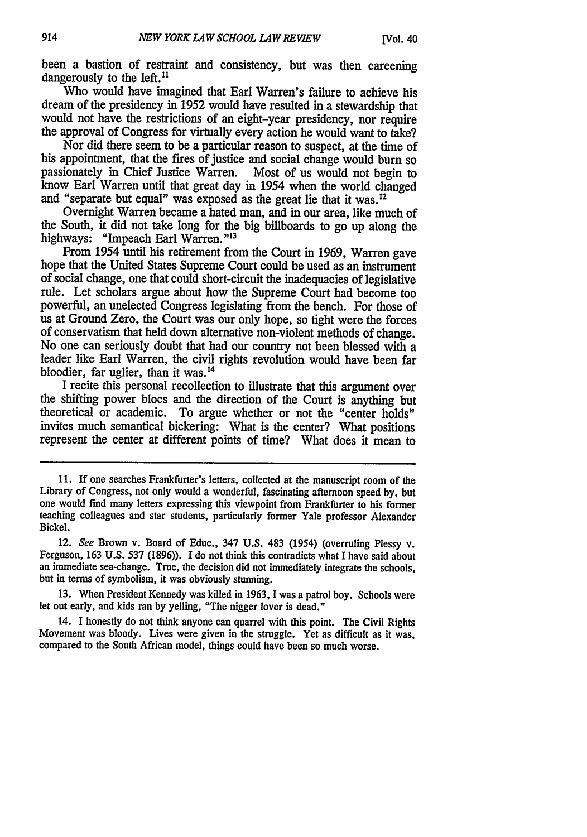been a bastion of restraint and consistency, but was then careening dangerously to the left.<sup>11</sup>

Who would have imagined that Earl Warren's failure to achieve his dream of the presidency in 1952 would have resulted in a stewardship that would not have the restrictions of an eight-year presidency, nor require the approval of Congress for virtually every action he would want to take?

Nor did there seem to be a particular reason to suspect, at the time of his appointment, that the fires of justice and social change would burn so passionately in Chief Justice Warren. Most of us would not begin to know Earl Warren until that great day in 1954 when the world changed and "separate but equal" was exposed as the great lie that it was.<sup>12</sup>

Overnight Warren became a hated man, and in our area, like much of the South, it did not take long for the big billboards to go up along the highways: "Impeach Earl Warren."<sup>13</sup><br>From 1954 until his retirement from the Court in 1969, Warren gave

hope that the United States Supreme Court could be used as an instrument of social change, one that could short-circuit the inadequacies of legislative rule. Let scholars argue about how the Supreme Court had become too powerful, an unelected Congress legislating from the bench. For those of us at Ground Zero, the Court was our only hope, so tight were the forces of conservatism that held down alternative non-violent methods of change. No one can seriously doubt that had our country not been blessed with a leader like Earl Warren, the civil rights revolution would have been far bloodier, far uglier, than it was.<sup>14</sup>

I recite this personal recollection to illustrate that this argument over the shifting power blocs and the direction of the Court is anything but theoretical or academic. To argue whether or not the "center holds" invites much semantical bickering: What is the center? What positions represent the center at different points of time? What does it mean to

13. When President Kennedy was killed in 1963, I was a patrol boy. Schools were let out early, and kids ran by yelling, "The nigger lover is dead."

14. I honestly do not think anyone can quarrel with this point. The Civil Rights Movement was bloody. Lives were given in the struggle. Yet as difficult as it was, compared to the South African model, things could have been so much worse.

<sup>11.</sup> If one searches Frankfurter's letters, collected at the manuscript room of the Library of Congress, not only would a wonderful, fascinating afternoon speed by, but one would find many letters expressing this viewpoint from Frankfurter to his former teaching colleagues and star students, particularly former Yale professor Alexander Bickel.

<sup>12.</sup> *See* Brown v. Board of Educ., 347 U.S. 483 (1954) (overruling Plessy v. Ferguson, 163 U.S. 537 (1896)). I do not think this contradicts what I have said about an immediate sea-change. True, the decision did not immediately integrate the schools, but in terms of symbolism, it was obviously stunning.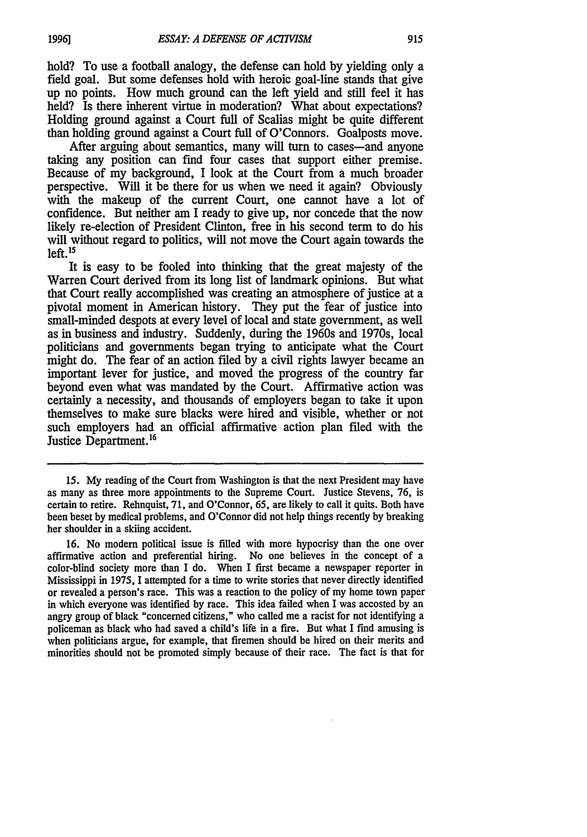hold? To use a football analogy, the defense can hold by yielding only a field goal. But some defenses hold with heroic goal-line stands that give up no points. How much ground can the left yield and still feel it has held? Is there inherent virtue in moderation? What about expectations? Holding ground against a Court full of Scalias might be quite different than holding ground against a Court full of O'Connors. Goalposts move.

After arguing about semantics, many will turn to cases—and anyone taking any position can find four cases that support either premise. Because of my background, I look at the Court from a much broader perspective. Will it be there for us when we need it again? Obviously with the makeup of the current Court, one cannot have a lot of confidence. But neither am I ready to give up, nor concede that the now likely re-election of President Clinton, free in his second term to do his will without regard to politics, will not move the Court again towards the  $left<sub>.15</sub>$ 

It is easy to be fooled into thinking that the great majesty of the Warren Court derived from its long list of landmark opinions. But what that Court really accomplished was creating an atmosphere of justice at a pivotal moment in American history. They put the fear of justice into small-minded despots at every level of local and state government, as well as in business and industry. Suddenly, during the 1960s and 1970s, local politicians and governments began trying to anticipate what the Court might do. The fear of an action filed by a civil rights lawyer became an important lever for justice, and moved the progress of the country far beyond even what was mandated by the Court. Affirmative action was certainly a necessity, and thousands of employers began to take it upon themselves to make sure blacks were hired and visible, whether or not such employers had an official affirmative action plan filed with the Justice Department.<sup>16</sup>

16. No modem political issue is filled with more hypocrisy than the one over affirmative action and preferential hiring. No one believes in the concept of a color-blind society more than I do. When I first became a newspaper reporter in Mississippi in 1975, I attempted for a time to write stories that never directly identified or revealed a person's race. This was a reaction to the policy of my home town paper in which everyone was identified by race. This idea failed when I was accosted by an angry group of black "concerned citizens," who called me a racist for not identifying a policeman as black who had saved a child's life in a fire. But what I find amusing is when politicians argue, for example, that firemen should be hired on their merits and minorities should not be promoted simply because of their race. The fact is that for

*<sup>15.</sup>* My reading of the Court from Washington is that the next President may have as many as three more appointments to the Supreme Court. Justice Stevens, 76, is certain to retire. Rehnquist, 71, and O'Connor, 65, are likely to call it quits. Both have been beset by medical problems, and O'Connor did not help things recently by breaking her shoulder in a skiing accident.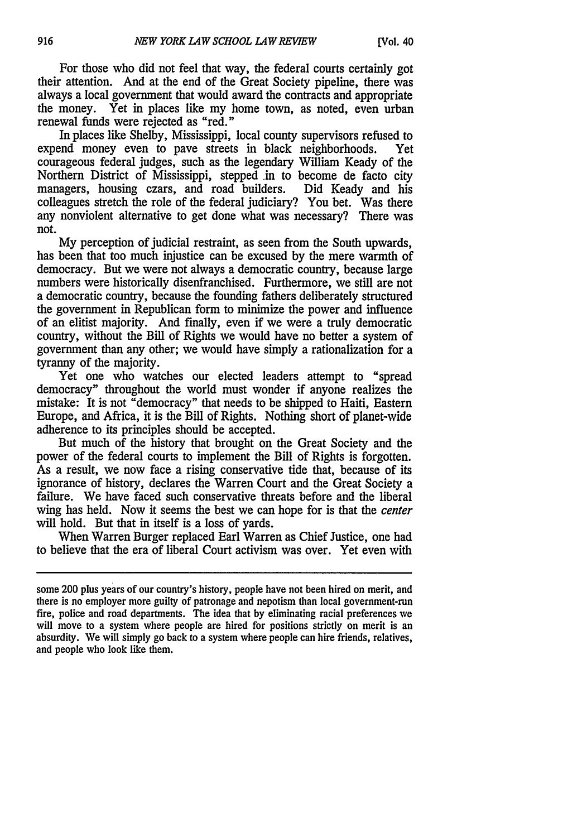For those who did not feel that way, the federal courts certainly got their attention. And at the end of the Great Society pipeline, there was always a local government that would award the contracts and appropriate the money. Yet in places like my home town, as noted, even urban renewal funds were rejected as "red."

In places like Shelby, Mississippi, local county supervisors refused to expend money even to pave streets in black neighborhoods. Yet courageous federal judges, such as the legendary William Keady of the Northern District of Mississippi, stepped in to become de facto city managers, housing czars, and road builders. Did Keady and his colleagues stretch the role of the federal judiciary? You bet. Was there any nonviolent alternative to get done what was necessary? There was not.

My perception of judicial restraint, as seen from the South upwards, has been that too much injustice can be excused by the mere warmth of democracy. But we were not always a democratic country, because large numbers were historically disenfranchised. Furthermore, we still are not a democratic country, because the founding fathers deliberately structured the government in Republican form to minimize the power and influence of an elitist majority. And finally, even if we were a truly democratic country, without the Bill of Rights we would have no better a system of government than any other; we would have simply a rationalization for a tyranny of the majority.

Yet one who watches our elected leaders attempt to "spread democracy" throughout the world must wonder if anyone realizes the mistake: It is not "democracy" that needs to be shipped to Haiti, Eastern Europe, and Africa, it is the Bill of Rights. Nothing short of planet-wide adherence to its principles should be accepted.

But much of the history that brought on the Great Society and the power of the federal courts to implement the Bill of Rights is forgotten. As a result, we now face a rising conservative tide that, because of its ignorance of history, declares the Warren Court and the Great Society a failure. We have faced such conservative threats before and the liberal wing has held. Now it seems the best we can hope for is that the center will hold. But that in itself is a loss of yards.

When Warren Burger replaced Earl Warren as Chief Justice, one had to believe that the era of liberal Court activism was over. Yet even with

some 200 plus years of our country's history, people have not been hired on merit, and there is no employer more guilty of patronage and nepotism than local government-run fire, police and road departments. The idea that by eliminating racial preferences we will move to a system where people are hired for positions strictly on merit is an absurdity. We will simply go back to a system where people can hire friends, relatives, and people who look like them.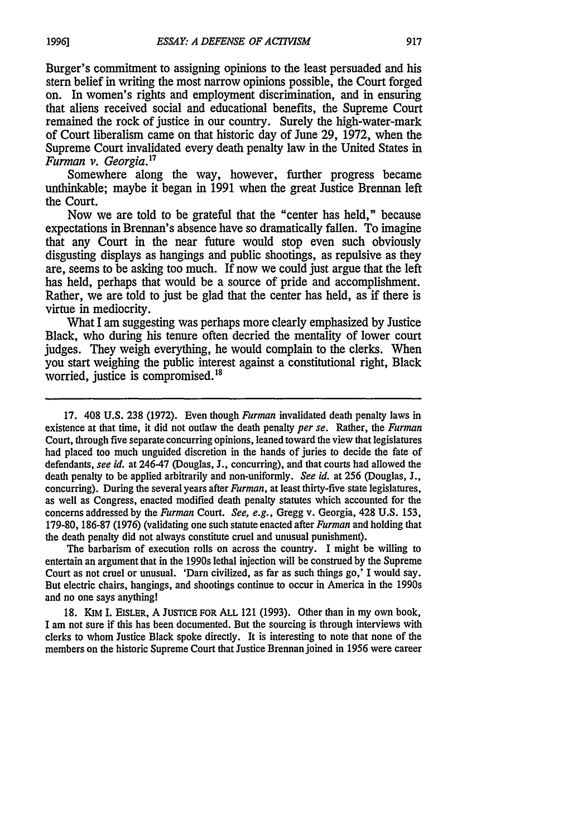Burger's commitment to assigning opinions to the least persuaded and his stern belief in writing the most narrow opinions possible, the Court forged on. In women's rights and employment discrimination, and in ensuring that aliens received social and educational benefits, the Supreme Court remained the rock of justice in our country. Surely the high-water-mark of Court liberalism came on that historic day of June 29, 1972, when the Supreme Court invalidated every death penalty law in the United States in *Furman v. Georgia.17*

Somewhere along the way, however, further progress became unthinkable; maybe it began in 1991 when the great Justice Brennan left the Court.

Now we are told to be grateful that the "center has held," because expectations in Brennan's absence have so dramatically fallen. To imagine that any Court in the near future would stop even such obviously disgusting displays as hangings and public shootings, as repulsive as they are, seems to be asking too much. If now we could just argue that the left has held, perhaps that would be a source of pride and accomplishment. Rather, we are told to just be glad that the center has held, as if there is virtue in mediocrity.

What I am suggesting was perhaps more clearly emphasized by Justice Black, who during his tenure often decried the mentality of lower court judges. They weigh everything, he would complain to the clerks. When you start weighing the public interest against a constitutional right, Black worried, justice is compromised.<sup>18</sup>

17. 408 U.S. 238 (1972). Even though *Furman* invalidated death penalty laws in existence at that time, it did not outlaw the death penalty *per se.* Rather, the *Furman* Court, through five separate concurring opinions, leaned toward the view that legislatures had placed too much unguided discretion in the hands of juries to decide the fate of defendants, *see id.* at 246-47 (Douglas, J., concurring), and that courts had allowed the death penalty to be applied arbitrarily and non-uniformly. *See id.* at 256 (Douglas, **I.,** concurring). During the several years after *Furman,* at least thirty-five state legislatures, as well as Congress, enacted modified death penalty statutes which accounted for the concerns addressed by the *Furman* Court. *See, e.g.,* Gregg v. Georgia, 428 U.S. 153, 179-80, 186-87 (1976) (validating one such statute enacted after *Furman* and holding that the death penalty did not always constitute cruel and unusual punishment).

The barbarism of execution rolls on across the country. I might be willing to entertain an argument that in the 1990s lethal injection will be construed by the Supreme Court as not cruel or unusual. 'Darn civilized, as far as such things go,' I would say. But electric chairs, hangings, and shootings continue to occur in America in the 1990s and no one says anything!

**18.** KIM I. EISLER, A **JUSTICE** FOR ALL 121 **(1993).** Other than in my own book, I am not sure if this has been documented. But the sourcing is through interviews with clerks to whom Justice Black spoke directly. It is interesting to note that none of the members on the historic Supreme Court that Justice Brennanjoined in 1956 were career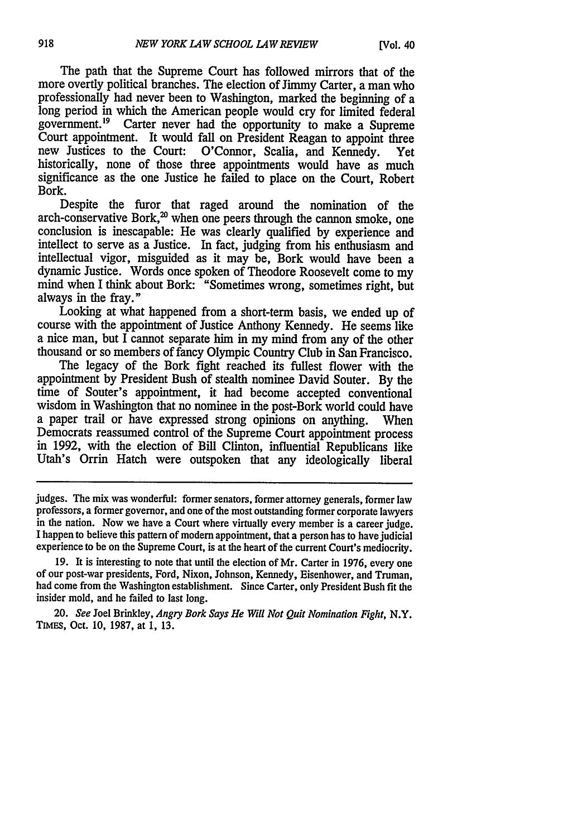The path that the Supreme Court has followed mirrors that of the more overtly political branches. The election of Jimmy Carter, a man who professionally had never been to Washington, marked the beginning of a long period in which the American people would cry for limited federal government.<sup>19</sup> Carter never had the opportunity to make a Supreme Court appointment. It would fall on President Reagan to appoint three new Justices to the Court: O'Connor, Scalia, and Kennedy. Yet historically, none of those three appointments would have as much significance as the one Justice he failed to place on the Court, Robert Bork.

Despite the furor that raged around the nomination of the  $\arch$ -conservative Bork, $^{20}$  when one peers through the cannon smoke, one conclusion is inescapable: He was clearly qualified by experience and intellect to serve as a Justice. In fact, judging from his enthusiasm and intellectual vigor, misguided as it may be, Bork would have been a dynamic Justice. Words once spoken of Theodore Roosevelt come to my mind when I think about Bork: "Sometimes wrong, sometimes right, but always in the fray."

Looking at what happened from a short-term basis, we ended up of course with the appointment of Justice Anthony Kennedy. He seems like a nice man, but  $\overline{I}$  cannot separate him in my mind from any of the other thousand or so members of fancy Olympic Country Club in San Francisco.

The legacy of the Bork fight reached its fullest flower with the appointment by President Bush of stealth nominee David Souter. By the time of Souter's appointment, it had become accepted conventional wisdom in Washington that no nominee in the post-Bork world could have a paper trail or have expressed strong opinions on anything. When in 1992, with the election of Bill Clinton, influential Republicans like Utah's Orrin Hatch were outspoken that any ideologically liberal

judges. The mix was wonderful: former senators, former attorney generals, former law professors, a former governor, and one of the most outstanding former corporate lawyers in the nation. Now we have a Court where virtually every member is a career judge. I happen to believe this pattern of modem appointment, that a person has to have judicial experience to be on the Supreme Court, is at the heart of the current Court's mediocrity.

19. It is interesting to note that until the election of Mr. Carter in 1976, every one of our post-war presidents, Ford, Nixon, Johnson, Kennedy, Eisenhower, and Truman, had come from the Washington establishment. Since Carter, only President Bush fit the insider mold, and he failed to last long.

20. *See* Joel Brinkley, *Angry Bork Says He Will Not* Quit Nomination Fight, N.Y. TIMES, Oct. 10, 1987, at 1, 13.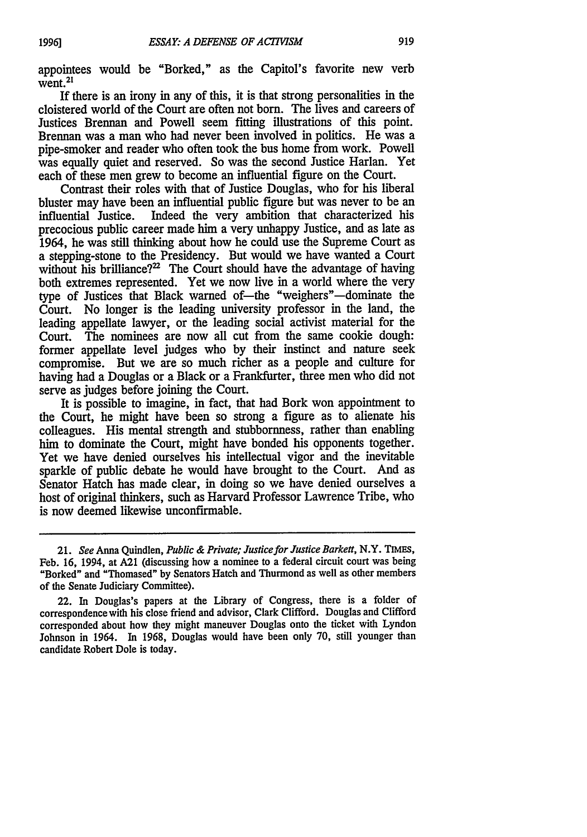appointees would be "Borked," as the Capitol's favorite new verb  $\overline{\text{went}}$ <sup>21</sup>

If there is an irony in any of this, it is that strong personalities in the cloistered world of the Court are often not born. The lives and careers of Justices Brennan and Powell seem fitting illustrations of this point. Brennan was a man who had never been involved in politics. He was a pipe-smoker and reader who often took the bus home from work. Powell was equally quiet and reserved. So was the second Justice Harlan. Yet each of these men grew to become an influential figure on the Court.

Contrast their roles with that of Justice Douglas, who for his liberal bluster may have been an influential public figure but was never to be an influential Justice. Indeed the very ambition that characterized his Indeed the very ambition that characterized his precocious public career made him a very unhappy Justice, and as late as 1964, he was still thinking about how he could use the Supreme Court as a stepping-stone to the Presidency. But would we have wanted a Court without his brilliance? $2^2$  The Court should have the advantage of having both extremes represented. Yet we now live in a world where the very type of Justices that Black warned of-the "weighers"-dominate the Court. No longer is the leading university professor in the land, the leading appellate lawyer, or the leading social activist material for the Court. The nominees are now all cut from the same cookie dough: former appellate level judges who by their instinct and nature seek compromise. But we are so much richer as a people and culture for having had a Douglas or a Black or a Frankfurter, three men who did not serve as judges before joining the Court.

It is possible to imagine, in fact, that had Bork won appointment to the Court, he might have been so strong a figure as to alienate his colleagues. His mental strength and stubbornness, rather than enabling him to dominate the Court, might have bonded his opponents together. Yet we have denied ourselves his intellectual vigor and the inevitable sparkle of public debate he would have brought to the Court. And as Senator Hatch has made clear, in doing so we have denied ourselves a host of original thinkers, such as Harvard Professor Lawrence Tribe, who is now deemed likewise unconfirmable.

<sup>21.</sup> *See* Anna Quindlen, *Public & Private; Justice for Justice Barkett,* N.Y. TIMEs, Feb. 16, 1994, at **A21** (discussing how a nominee to a federal circuit court was being "Borked" and "Thomased" **by** Senators Hatch and Thurmond as well as other members of the Senate Judiciary Committee).

<sup>22.</sup> In Douglas's papers at the Library of Congress, there is a folder of correspondence with his close friend and advisor, Clark Clifford. Douglas and Clifford corresponded about how they might maneuver Douglas onto the ticket with Lyndon Johnson in 1964. In 1968, Douglas would have been only 70, still younger than candidate Robert Dole is today.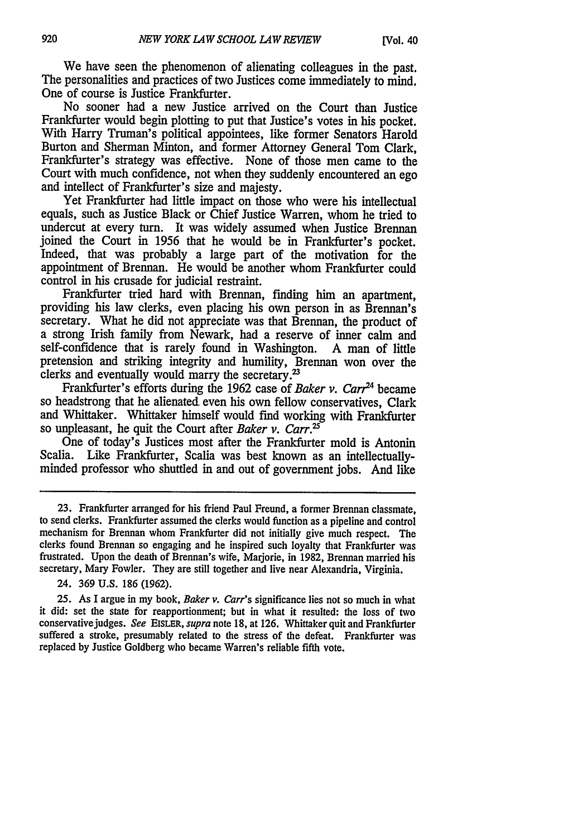We have seen the phenomenon of alienating colleagues in the past. The personalities and practices of two Justices come immediately to mind. One of course is Justice Frankfurter.

No sooner had a new Justice arrived on the Court than Justice Frankfurter would begin plotting to put that Justice's votes in his pocket. With Harry Truman's political appointees, like former Senators Harold Burton and Sherman Minton, and former Attorney General Tom Clark, Frankfurter's strategy was effective. None of those men came to the Court with much confidence, not when they suddenly encountered an ego and intellect of Frankfurter's size and majesty.

Yet Frankfurter had little impact on those who were his intellectual equals, such as Justice Black or Chief Justice Warren, whom he tried to undercut at every turn. It was widely assumed when Justice Brennan joined the Court in 1956 that he would be in Frankfurter's pocket. Indeed, that was probably a large part of the motivation for the appointment of Brennan. He would be another whom Frankfurter could control in his crusade for judicial restraint.

Frankfurter tried hard with Brennan, finding him an apartment, providing his law clerks, even placing his own person in as Brennan's secretary. What he did not appreciate was that Brennan, the product of a strong Irish family from Newark, had a reserve of inner calm and self-confidence that is rarely found in Washington. A man of little pretension and striking integrity and humility, Brennan won over the clerks and eventually would marry the secretary.<sup>23</sup>

Frankfurter's efforts during the 1962 case of *Baker v. Carr*<sup>24</sup> became so headstrong that he alienated even his own fellow conservatives, Clark and Whittaker. Whittaker himself would find working with Frankfurter so unpleasant, he quit the Court after *Baker v. Carr.'*

One of today's Justices most after the Frankfurter mold is Antonin Scalia. Like Frankfurter, Scalia was best known as an intellectuallyminded professor who shuttled in and out of government jobs. And like

24. 369 U.S. 186 (1962).

25. As I argue in my book, *Baker v. Carr's* significance lies not so much in what it did: set the state for reapportionment; but in what it resulted: the loss of two conservativejudges. *See* EisLER, *supra* note 18, at 126. Whittaker quit and Frankfurter suffered a stroke, presumably related to the stress of the defeat. Frankfurter was replaced by Justice Goldberg who became Warren's reliable fifth vote.

<sup>23.</sup> Frankfurter arranged for his friend Paul Freund, a former Brennan classmate, to send clerks. Frankfurter assumed the clerks would function as a pipeline and control mechanism for Brennan whom Frankfurter did not initially give much respect. The clerks found Brennan so engaging and he inspired such loyalty that Frankfurter was frustrated. Upon the death of Brennan's wife, Marjorie, in 1982, Brennan married his secretary, Mary Fowler. They are still together and live near Alexandria, Virginia.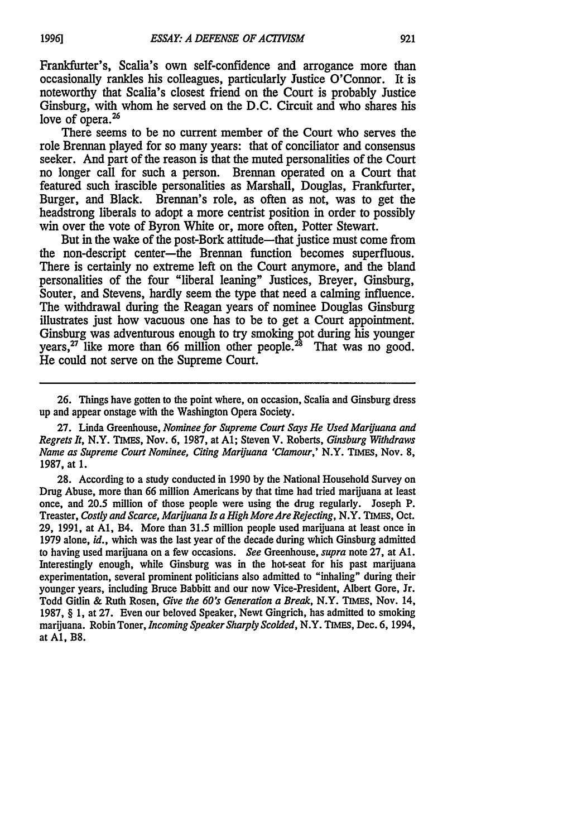Frankfurter's, Scalia's own self-confidence and arrogance more than occasionally rankles his colleagues, particularly Justice O'Connor. It is noteworthy that Scalia's closest friend on the Court is probably Justice Ginsburg, with whom he served on the D.C. Circuit and who shares his love of opera. $26$ 

There seems to be no current member of the Court who serves the role Brennan played for so many years: that of conciliator and consensus seeker. And part of the reason is that the muted personalities of the Court no longer call for such a person. Brennan operated on a Court that featured such irascible personalities as Marshall, Douglas, Frankfurter, Burger, and Black. Brennan's role, as often as not, was to get the headstrong liberals to adopt a more centrist position in order to possibly win over the vote of Byron White or, more often, Potter Stewart.

But in the wake of the post-Bork attitude—that justice must come from the non-descript center-the Brennan function becomes superfluous. There is certainly no extreme left on the Court anymore, and the bland personalities of the four "liberal leaning" Justices, Breyer, Ginsburg, Souter, and Stevens, hardly seem the type that need a calming influence. The withdrawal during the Reagan years of nominee Douglas Ginsburg illustrates just how vacuous one has to be to get a Court appointment. Ginsburg was adventurous enough to try smoking pot during his younger years,<sup>27</sup> like more than 66 million other people.<sup>28</sup> That was no good. He could not serve on the Supreme Court.

27. Linda Greenhouse, *Nominee for Supreme Court Says He Used Marijuana and Regrets It,* N.Y. TIMES, Nov. 6, 1987, at **Al;** Steven V. Roberts, *Ginsburg Withdraws Name as Supreme Court Nominee, Citing Mariuana 'Clamour,'* N.Y. **TIMES,** Nov. 8, 1987, at 1.

28. According to a study conducted in 1990 by the National Household Survey on Drug Abuse, more than 66 million Americans by that time had tried marijuana at least once, and 20.5 million of those people were using the drug regularly. Joseph P. Treaster, *Costly and Scarce, Marijuana Is a High More Are Rejecting,* N.Y. **TIMES,** Oct. 29, 1991, at **Al,** B4. More than 31.5 million people used marijuana at least once in 1979 alone, *id.,* which was the last year of the decade during which Ginsburg admitted to having used marijuana on a few occasions. *See* Greenhouse, *supra* note 27, at **Al.** Interestingly enough, while Ginsburg was in the hot-seat for his past marijuana experimentation, several prominent politicians also admitted to "inhaling" during their younger years, including Bruce Babbitt and our now Vice-President, Albert Gore, Jr. Todd Gitlin & Ruth Rosen, *Give the 60's Generation a Break,* N.Y. TIMES, Nov. 14, 1987, § 1, at 27. Even our beloved Speaker, Newt Gingrich, has admitted to smoking marijuana. Robin Toner, *Incoming Speaker Sharply Scolded,* N.Y. TIMES, Dec. 6, 1994, at **Al,** B8.

<sup>26.</sup> Things have gotten to the point where, on occasion, Scalia and Ginsburg dress up and appear onstage with the Washington Opera Society.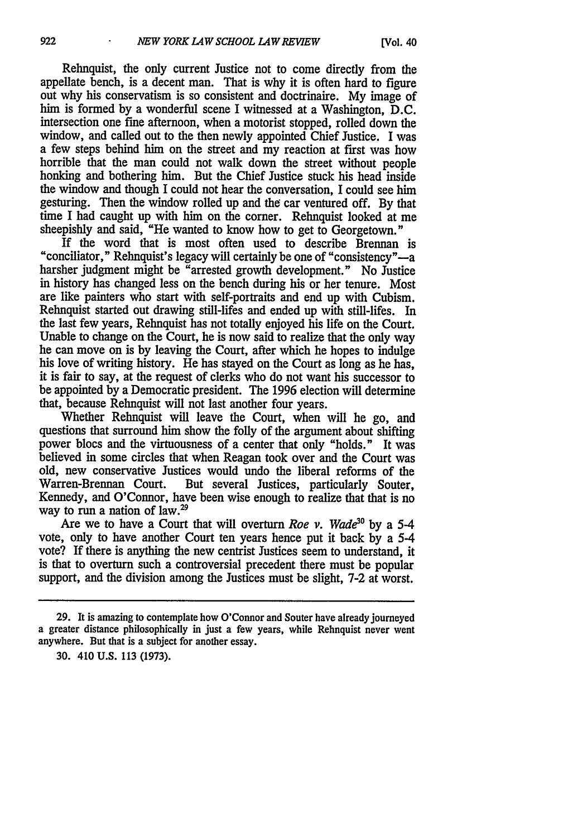Rehnquist, the only current Justice not to come directly from the appellate bench, is a decent man. That is why it is often hard to figure out why his conservatism is so consistent and doctrinaire. My image of him is formed by a wonderful scene I witnessed at a Washington, D.C. intersection one fine afternoon, when a motorist stopped, rolled down the window, and called out to the then newly appointed Chief Justice. I was a few steps behind him on the street and my reaction at first was how horrible that the man could not walk down the street without people honking and bothering him. But the Chief Justice stuck his head inside the window and though I could not hear the conversation, I could see him gesturing. Then the window rolled up and the car ventured off. By that time I had caught up with him on the corner. Rehnquist looked at me sheepishly and said, "He wanted to know how to get to Georgetown."

If the word that is most often used to describe Brennan is "conciliator," Rehnquist's legacy will certainly be one of "consistency"-a harsher judgment might be "arrested growth development." No Justice in history has changed less on the bench during his or her tenure. Most are like painters who start with self-portraits and end up with Cubism. Rehnquist started out drawing still-lifes and ended up with still-lifes. In the last few years, Rehnquist has not totally enjoyed his life on the Court. Unable to change on the Court, he is now said to realize that the only way he can move on is by leaving the Court, after which he hopes to indulge his love of writing history. He has stayed on the Court as long as he has, it is fair to say, at the request of clerks who do not want his successor to be appointed by a Democratic president. The 1996 election will determine that, because Rehnquist will not last another four years.

Whether Rehnquist will leave the Court, when will he go, and questions that surround him show the folly of the argument about shifting power blocs and the virtuousness of a center that only "holds." It was believed in some circles that when Reagan took over and the Court was old, new conservative Justices would undo the liberal reforms of the Warren-Brennan Court. But several Justices, particularly Souter, Kennedy, and O'Connor, have been wise enough to realize that that is no way to run a nation of law.29

Are we to have a Court that will overturn *Roe v. Wade*<sup>30</sup> by a 5-4 vote, only to have another Court ten years hence put it back by a 5-4 vote? If there is anything the new centrist Justices seem to understand, it is that to overturn such a controversial precedent there must be popular support, and the division among the Justices must be slight, 7-2 at worst.

<sup>29.</sup> It is amazing to contemplate how O'Connor and Souter have already journeyed a greater distance philosophically in just a few years, while Rehnquist never went anywhere. But that is a subject for another essay.

<sup>30. 410</sup> U.S. 113 (1973).